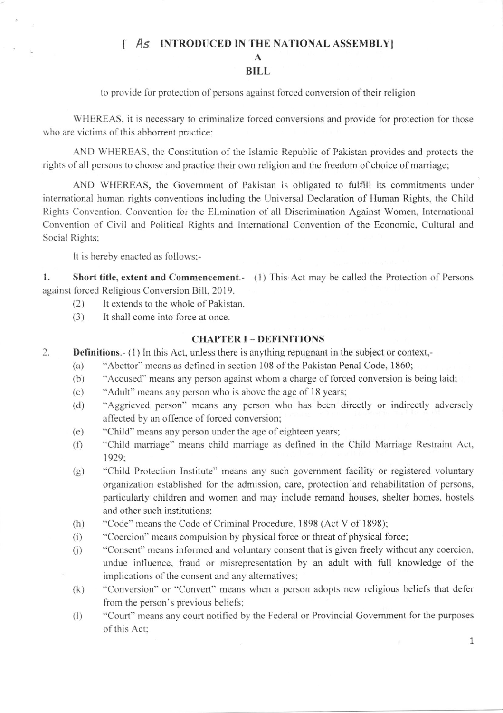## I As INTRODUCED IN THE NATIONAL ASSEMBLY

### A BILL

to provide for protection of persons against forced conversion of their religion

WHEREAS, it is necessary to criminalize forced conversions and provide for protection for those who are victims of this abhorrent practice:

AND WHEREAS, the Constitution of the Islamic Republic of Pakistan provides and protects the rights of all persons to choose and practice their own religion and the freedom of choice of marriage;

AND WIIEREAS, the Govemment of Pakistan is obligated to fulfill its commitments under international human rights conventions including the Universal Declaration of Human Rights, the Child Rights Convention. Convention for the Elimination of all Discrimination Against Women, International Convention of Civil and Political Rights and International Convention of the Economic, Cultural and Social Rights;

It is hereby enacted as follows;-

1. Short title, extent and Commencement.- (1) This Act may be called the Protection of Persons against forced Religious Conversion Bill, 2019.

- $(2)$  It extends to the whole of Pakistan.
- (3) It shall come into force at once.

## CHAPTER I - DEFINITIONS

- Definitions.- (1) In this Act, unless there is anything repugnant in the subject or context,-2.
	- (a) "Abettor" means as defined in section  $108$  of the Pakistan Penal Code, 1860;
	- (b) "Accused" means any person against whom a charge of forced conversion is being laid;
	- (c) "Adult" means any person who is above the age of 18 years;
	- (d) "Aggricved person" means any person who has been directly or indirectly adversely affected by an offence of forced conversion;
	- (e) "Child" means any person under the age of eighteen years;
	- (f) "Child marriage" means child marriage as defined in the Child Marriage Restraint Act, 1929:'
	- (g) "Child Protection Institute" means any such government facility or registered voluntary organization established for the admission, care, protection and rehabilitation of persons, particularly children and women and may include remand houses, shelter homes. hostels and other such institutions:
	- (h) "Code" means the Code of Criminal Procedure, 1898 (Act V of 1898);
	- $(i)$  "Coercion" means compulsion by physical force or threat of physical force;
	- (i) "Consent" means informed and voluntary consent that is given freely without any coercion, undue influence, fraud or misrepresentation by an adult with full knowledge of the implications of the consent and any alternatives;
	- (k) "Conversion" or "Convert" means when a person adopts new religious beliefs that defer from the person's previous beliefs;
	- (l) "Court" means any court notified by the Federal or Provincial Government for the purposes of this Act:

1